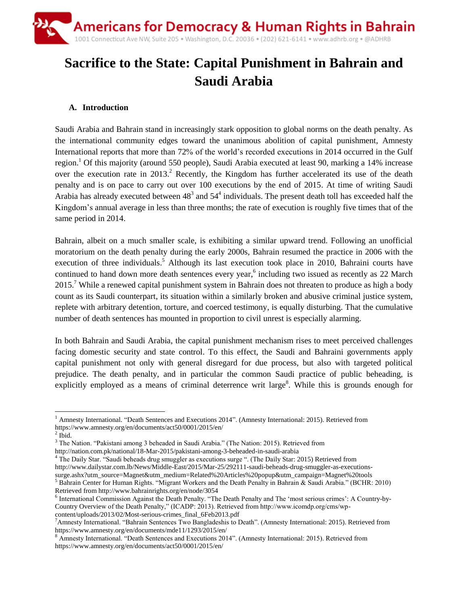# **Sacrifice to the State: Capital Punishment in Bahrain and Saudi Arabia**

## **A. Introduction**

Saudi Arabia and Bahrain stand in increasingly stark opposition to global norms on the death penalty. As the international community edges toward the unanimous abolition of capital punishment, Amnesty International reports that more than 72% of the world's recorded executions in 2014 occurred in the Gulf region.<sup>1</sup> Of this majority (around 550 people), Saudi Arabia executed at least 90, marking a 14% increase over the execution rate in 2013.<sup>2</sup> Recently, the Kingdom has further accelerated its use of the death penalty and is on pace to carry out over 100 executions by the end of 2015. At time of writing Saudi Arabia has already executed between  $48<sup>3</sup>$  and  $54<sup>4</sup>$  individuals. The present death toll has exceeded half the Kingdom's annual average in less than three months; the rate of execution is roughly five times that of the same period in 2014.

Bahrain, albeit on a much smaller scale, is exhibiting a similar upward trend. Following an unofficial moratorium on the death penalty during the early 2000s, Bahrain resumed the practice in 2006 with the execution of three individuals.<sup>5</sup> Although its last execution took place in 2010, Bahraini courts have continued to hand down more death sentences every year,<sup>6</sup> including two issued as recently as 22 March 2015.<sup>7</sup> While a renewed capital punishment system in Bahrain does not threaten to produce as high a body count as its Saudi counterpart, its situation within a similarly broken and abusive criminal justice system, replete with arbitrary detention, torture, and coerced testimony, is equally disturbing. That the cumulative number of death sentences has mounted in proportion to civil unrest is especially alarming.

In both Bahrain and Saudi Arabia, the capital punishment mechanism rises to meet perceived challenges facing domestic security and state control. To this effect, the Saudi and Bahraini governments apply capital punishment not only with general disregard for due process, but also with targeted political prejudice. The death penalty, and in particular the common Saudi practice of public beheading, is explicitly employed as a means of criminal deterrence writ large<sup>8</sup>. While this is grounds enough for

 $\overline{a}$ <sup>1</sup> Amnesty International. "Death Sentences and Executions 2014". (Amnesty International: 2015). Retrieved from https://www.amnesty.org/en/documents/act50/0001/2015/en/

 $2$  Ibid.

<sup>&</sup>lt;sup>3</sup> The Nation. "Pakistani among 3 beheaded in Saudi Arabia." (The Nation: 2015). Retrieved from

http://nation.com.pk/national/18-Mar-2015/pakistani-among-3-beheaded-in-saudi-arabia

<sup>4</sup> The Daily Star. "Saudi beheads drug smuggler as executions surge ". (The Daily Star: 2015) Retrieved from http://www.dailystar.com.lb/News/Middle-East/2015/Mar-25/292111-saudi-beheads-drug-smuggler-as-executionssurge.ashx?utm\_source=Magnet&utm\_medium=Related%20Articles%20popup&utm\_campaign=Magnet%20tools <sup>5</sup> Bahrain Center for Human Rights. "Migrant Workers and the Death Penalty in Bahrain & Saudi Arabia." (BCHR: 2010)

Retrieved from http://www.bahrainrights.org/en/node/3054

<sup>&</sup>lt;sup>6</sup> International Commission Against the Death Penalty. "The Death Penalty and The 'most serious crimes': A Country-by-Country Overview of the Death Penalty," (ICADP: 2013). Retrieved from http://www.icomdp.org/cms/wpcontent/uploads/2013/02/Most-serious-crimes\_final\_6Feb2013.pdf

<sup>7</sup>Amnesty International. "Bahrain Sentences Two Bangladeshis to Death". (Amnesty International: 2015). Retrieved from https://www.amnesty.org/en/documents/mde11/1293/2015/en/

<sup>8</sup> Amnesty International. "Death Sentences and Executions 2014". (Amnesty International: 2015). Retrieved from https://www.amnesty.org/en/documents/act50/0001/2015/en/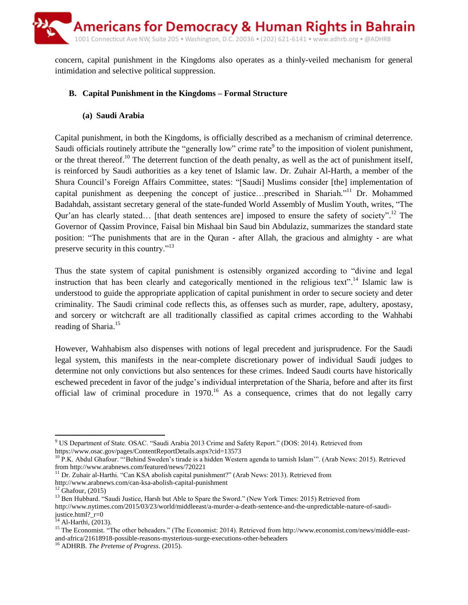

concern, capital punishment in the Kingdoms also operates as a thinly-veiled mechanism for general intimidation and selective political suppression.

#### **B. Capital Punishment in the Kingdoms – Formal Structure**

#### **(a) Saudi Arabia**

Capital punishment, in both the Kingdoms, is officially described as a mechanism of criminal deterrence. Saudi officials routinely attribute the "generally low" crime rate  $9$  to the imposition of violent punishment, or the threat thereof.<sup>10</sup> The deterrent function of the death penalty, as well as the act of punishment itself, is reinforced by Saudi authorities as a key tenet of Islamic law. Dr. Zuhair Al-Harth, a member of the Shura Council's Foreign Affairs Committee, states: "[Saudi] Muslims consider [the] implementation of capital punishment as deepening the concept of justice...prescribed in Shariah."<sup>11</sup> Dr. Mohammed Badahdah, assistant secretary general of the state-funded World Assembly of Muslim Youth, writes, "The Qur'an has clearly stated... [that death sentences are] imposed to ensure the safety of society".<sup>12</sup> The Governor of Qassim Province, Faisal bin Mishaal bin Saud bin Abdulaziz, summarizes the standard state position: "The punishments that are in the Quran - after Allah, the gracious and almighty - are what preserve security in this country."<sup>13</sup>

Thus the state system of capital punishment is ostensibly organized according to "divine and legal instruction that has been clearly and categorically mentioned in the religious text".<sup>14</sup> Islamic law is understood to guide the appropriate application of capital punishment in order to secure society and deter criminality. The Saudi criminal code reflects this, as offenses such as murder, rape, adultery, apostasy, and sorcery or witchcraft are all traditionally classified as capital crimes according to the Wahhabi reading of Sharia.<sup>15</sup>

However, Wahhabism also dispenses with notions of legal precedent and jurisprudence. For the Saudi legal system, this manifests in the near-complete discretionary power of individual Saudi judges to determine not only convictions but also sentences for these crimes. Indeed Saudi courts have historically eschewed precedent in favor of the judge's individual interpretation of the Sharia, before and after its first official law of criminal procedure in 1970.<sup>16</sup> As a consequence, crimes that do not legally carry

 $\overline{a}$ 

<sup>9</sup> US Department of State. OSAC. "Saudi Arabia 2013 Crime and Safety Report." (DOS: 2014). Retrieved from https://www.osac.gov/pages/ContentReportDetails.aspx?cid=13573

 $^{10}$  P.K. Abdul Ghafour. "Behind Sweden's tirade is a hidden Western agenda to tarnish Islam". (Arab News: 2015). Retrieved from http://www.arabnews.com/featured/news/720221

<sup>&</sup>lt;sup>11</sup> Dr. Zuhair al-Harthi. "Can KSA abolish capital punishment?" (Arab News: 2013). Retrieved from

http://www.arabnews.com/can-ksa-abolish-capital-punishment

 $12$  Ghafour, (2015)

<sup>&</sup>lt;sup>13</sup> Ben Hubbard. "Saudi Justice, Harsh but Able to Spare the Sword." (New York Times: 2015) Retrieved from http://www.nytimes.com/2015/03/23/world/middleeast/a-murder-a-death-sentence-and-the-unpredictable-nature-of-saudijustice.html?\_r=0

 $14$  Al-Harthi, (2013).

<sup>&</sup>lt;sup>15</sup> The Economist. "The other beheaders." (The Economist: 2014). Retrieved from http://www.economist.com/news/middle-eastand-africa/21618918-possible-reasons-mysterious-surge-executions-other-beheaders

<sup>16</sup> ADHRB. *The Pretense of Progress*. (2015).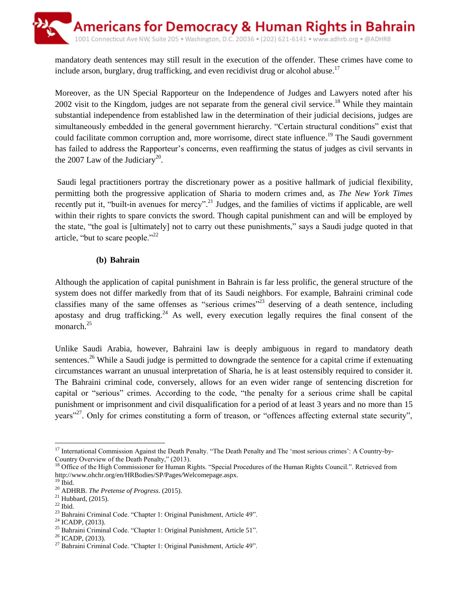

mandatory death sentences may still result in the execution of the offender. These crimes have come to include arson, burglary, drug trafficking, and even recidivist drug or alcohol abuse.<sup>17</sup>

Moreover, as the UN Special Rapporteur on the Independence of Judges and Lawyers noted after his 2002 visit to the Kingdom, judges are not separate from the general civil service.<sup>18</sup> While they maintain substantial independence from established law in the determination of their judicial decisions, judges are simultaneously embedded in the general government hierarchy. "Certain structural conditions" exist that could facilitate common corruption and, more worrisome, direct state influence.<sup>19</sup> The Saudi government has failed to address the Rapporteur's concerns, even reaffirming the status of judges as civil servants in the 2007 Law of the Judiciary<sup>20</sup>.

Saudi legal practitioners portray the discretionary power as a positive hallmark of judicial flexibility, permitting both the progressive application of Sharia to modern crimes and, as *The New York Times* recently put it, "built-in avenues for mercy".<sup>21</sup> Judges, and the families of victims if applicable, are well within their rights to spare convicts the sword. Though capital punishment can and will be employed by the state, "the goal is [ultimately] not to carry out these punishments," says a Saudi judge quoted in that article, "but to scare people."<sup>22</sup>

#### **(b) Bahrain**

Although the application of capital punishment in Bahrain is far less prolific, the general structure of the system does not differ markedly from that of its Saudi neighbors. For example, Bahraini criminal code classifies many of the same offenses as "serious crimes"<sup>23</sup> deserving of a death sentence, including apostasy and drug trafficking.<sup>24</sup> As well, every execution legally requires the final consent of the monarch. 25

Unlike Saudi Arabia, however, Bahraini law is deeply ambiguous in regard to mandatory death sentences.<sup>26</sup> While a Saudi judge is permitted to downgrade the sentence for a capital crime if extenuating circumstances warrant an unusual interpretation of Sharia, he is at least ostensibly required to consider it. The Bahraini criminal code, conversely, allows for an even wider range of sentencing discretion for capital or "serious" crimes. According to the code, "the penalty for a serious crime shall be capital punishment or imprisonment and civil disqualification for a period of at least 3 years and no more than 15 years<sup>"27</sup>. Only for crimes constituting a form of treason, or "offences affecting external state security",

 $\overline{\phantom{a}}$  $17$  International Commission Against the Death Penalty. "The Death Penalty and The 'most serious crimes': A Country-by-Country Overview of the Death Penalty," (2013).

<sup>&</sup>lt;sup>18</sup> Office of the High Commissioner for Human Rights. "Special Procedures of the Human Rights Council.". Retrieved from http://www.ohchr.org/en/HRBodies/SP/Pages/Welcomepage.aspx.

 $19$  Ibid.

<sup>20</sup> ADHRB. *The Pretense of Progress*. (2015).

 $21$  Hubbard, (2015).

 $22$  Ibid.

<sup>23</sup> Bahraini Criminal Code. "Chapter 1: Original Punishment, Article 49".

 $24$  ICADP, (2013).

<sup>25</sup> Bahraini Criminal Code. "Chapter 1: Original Punishment, Article 51".

<sup>26</sup> ICADP, (2013).

<sup>27</sup> Bahraini Criminal Code. "Chapter 1: Original Punishment, Article 49".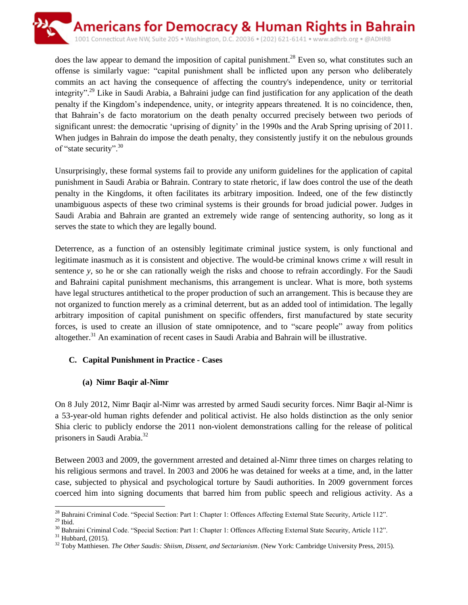

does the law appear to demand the imposition of capital punishment.<sup>28</sup> Even so, what constitutes such an offense is similarly vague: "capital punishment shall be inflicted upon any person who deliberately commits an act having the consequence of affecting the country's independence, unity or territorial integrity".<sup>29</sup> Like in Saudi Arabia, a Bahraini judge can find justification for any application of the death penalty if the Kingdom's independence, unity, or integrity appears threatened. It is no coincidence, then, that Bahrain's de facto moratorium on the death penalty occurred precisely between two periods of significant unrest: the democratic 'uprising of dignity' in the 1990s and the Arab Spring uprising of 2011. When judges in Bahrain do impose the death penalty, they consistently justify it on the nebulous grounds of "state security".<sup>30</sup>

Unsurprisingly, these formal systems fail to provide any uniform guidelines for the application of capital punishment in Saudi Arabia or Bahrain. Contrary to state rhetoric, if law does control the use of the death penalty in the Kingdoms, it often facilitates its arbitrary imposition. Indeed, one of the few distinctly unambiguous aspects of these two criminal systems is their grounds for broad judicial power. Judges in Saudi Arabia and Bahrain are granted an extremely wide range of sentencing authority, so long as it serves the state to which they are legally bound.

Deterrence, as a function of an ostensibly legitimate criminal justice system, is only functional and legitimate inasmuch as it is consistent and objective. The would-be criminal knows crime *x* will result in sentence *y*, so he or she can rationally weigh the risks and choose to refrain accordingly. For the Saudi and Bahraini capital punishment mechanisms, this arrangement is unclear. What is more, both systems have legal structures antithetical to the proper production of such an arrangement. This is because they are not organized to function merely as a criminal deterrent, but as an added tool of intimidation. The legally arbitrary imposition of capital punishment on specific offenders, first manufactured by state security forces, is used to create an illusion of state omnipotence, and to "scare people" away from politics altogether.<sup>31</sup> An examination of recent cases in Saudi Arabia and Bahrain will be illustrative.

## **C. Capital Punishment in Practice - Cases**

# **(a) Nimr Baqir al-Nimr**

On 8 July 2012, Nimr Baqir al-Nimr was arrested by armed Saudi security forces. Nimr Baqir al-Nimr is a 53-year-old human rights defender and political activist. He also holds distinction as the only senior Shia cleric to publicly endorse the 2011 non-violent demonstrations calling for the release of political prisoners in Saudi Arabia.<sup>32</sup>

Between 2003 and 2009, the government arrested and detained al-Nimr three times on charges relating to his religious sermons and travel. In 2003 and 2006 he was detained for weeks at a time, and, in the latter case, subjected to physical and psychological torture by Saudi authorities. In 2009 government forces coerced him into signing documents that barred him from public speech and religious activity. As a

l <sup>28</sup> Bahraini Criminal Code. "Special Section: Part 1: Chapter 1: Offences Affecting External State Security, Article 112".  $^{29}$  Ibid.

<sup>&</sup>lt;sup>30</sup> Bahraini Criminal Code. "Special Section: Part 1: Chapter 1: Offences Affecting External State Security, Article 112".

 $^{31}$  Hubbard, (2015).

<sup>32</sup> Toby Matthiesen. *The Other Saudis: Shiism, Dissent, and Sectarianism*. (New York: Cambridge University Press, 2015).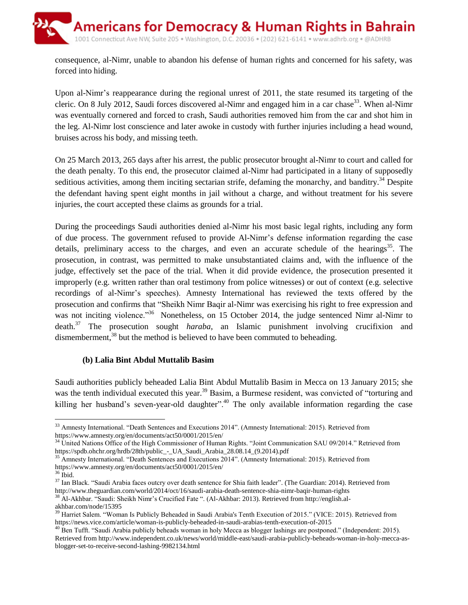consequence, al-Nimr, unable to abandon his defense of human rights and concerned for his safety, was forced into hiding.

Upon al-Nimr's reappearance during the regional unrest of 2011, the state resumed its targeting of the cleric. On 8 July 2012, Saudi forces discovered al-Nimr and engaged him in a car chase<sup>33</sup>. When al-Nimr was eventually cornered and forced to crash, Saudi authorities removed him from the car and shot him in the leg. Al-Nimr lost conscience and later awoke in custody with further injuries including a head wound, bruises across his body, and missing teeth.

On 25 March 2013, 265 days after his arrest, the public prosecutor brought al-Nimr to court and called for the death penalty. To this end, the prosecutor claimed al-Nimr had participated in a litany of supposedly seditious activities, among them inciting sectarian strife, defaming the monarchy, and banditry.<sup>34</sup> Despite the defendant having spent eight months in jail without a charge, and without treatment for his severe injuries, the court accepted these claims as grounds for a trial.

During the proceedings Saudi authorities denied al-Nimr his most basic legal rights, including any form of due process. The government refused to provide Al-Nimr's defense information regarding the case details, preliminary access to the charges, and even an accurate schedule of the hearings<sup>35</sup>. The prosecution, in contrast, was permitted to make unsubstantiated claims and, with the influence of the judge, effectively set the pace of the trial. When it did provide evidence, the prosecution presented it improperly (e.g. written rather than oral testimony from police witnesses) or out of context (e.g. selective recordings of al-Nimr's speeches). Amnesty International has reviewed the texts offered by the prosecution and confirms that "Sheikh Nimr Baqir al-Nimr was exercising his right to free expression and was not inciting violence.<sup>356</sup> Nonetheless, on 15 October 2014, the judge sentenced Nimr al-Nimr to death. <sup>37</sup> The prosecution sought *haraba*, an Islamic punishment involving crucifixion and dismemberment,<sup>38</sup> but the method is believed to have been commuted to beheading.

## **(b) Lalia Bint Abdul Muttalib Basim**

Saudi authorities publicly beheaded Lalia Bint Abdul Muttalib Basim in Mecca on 13 January 2015; she was the tenth individual executed this year.<sup>39</sup> Basim, a Burmese resident, was convicted of "torturing and killing her husband's seven-year-old daughter".<sup>40</sup> The only available information regarding the case

<sup>38</sup> Al-Akhbar. "Saudi: Sheikh Nimr's Crucified Fate ". (Al-Akhbar: 2013). Retrieved from http://english.al-

akhbar.com/node/15395

 $\overline{\phantom{a}}$ <sup>33</sup> Amnesty International. "Death Sentences and Executions 2014". (Amnesty International: 2015). Retrieved from https://www.amnesty.org/en/documents/act50/0001/2015/en/

<sup>&</sup>lt;sup>34</sup> United Nations Office of the High Commissioner of Human Rights. "Joint Communication SAU 09/2014." Retrieved from https://spdb.ohchr.org/hrdb/28th/public\_-\_UA\_Saudi\_Arabia\_28.08.14\_(9.2014).pdf

<sup>&</sup>lt;sup>35</sup> Amnesty International. "Death Sentences and Executions 2014". (Amnesty International: 2015). Retrieved from https://www.amnesty.org/en/documents/act50/0001/2015/en/

 $36$  Ibid.

<sup>&</sup>lt;sup>37</sup> Ian Black. "Saudi Arabia faces outcry over death sentence for Shia faith leader". (The Guardian: 2014). Retrieved from http://www.theguardian.com/world/2014/oct/16/saudi-arabia-death-sentence-shia-nimr-baqir-human-rights

<sup>&</sup>lt;sup>39</sup> Harriet Salem. "Woman Is Publicly Beheaded in Saudi Arabia's Tenth Execution of 2015." (VICE: 2015). Retrieved from https://news.vice.com/article/woman-is-publicly-beheaded-in-saudi-arabias-tenth-execution-of-2015

<sup>&</sup>lt;sup>40</sup> Ben Tufft. "Saudi Arabia publicly beheads woman in holy Mecca as blogger lashings are postponed." (Independent: 2015). Retrieved from http://www.independent.co.uk/news/world/middle-east/saudi-arabia-publicly-beheads-woman-in-holy-mecca-asblogger-set-to-receive-second-lashing-9982134.html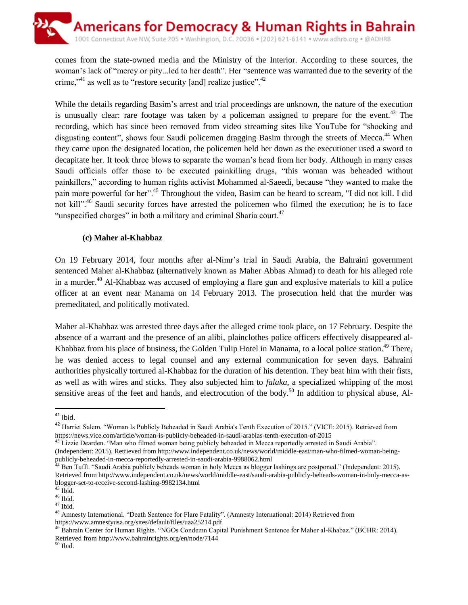comes from the state-owned media and the Ministry of the Interior. According to these sources, the woman's lack of "mercy or pity...led to her death". Her "sentence was warranted due to the severity of the crime,"<sup>41</sup> as well as to "restore security [and] realize justice".<sup>42</sup>

While the details regarding Basim's arrest and trial proceedings are unknown, the nature of the execution is unusually clear: rare footage was taken by a policeman assigned to prepare for the event.<sup>43</sup> The recording, which has since been removed from video streaming sites like YouTube for "shocking and disgusting content", shows four Saudi policemen dragging Basim through the streets of Mecca.<sup>44</sup> When they came upon the designated location, the policemen held her down as the executioner used a sword to decapitate her. It took three blows to separate the woman's head from her body. Although in many cases Saudi officials offer those to be executed painkilling drugs, "this woman was beheaded without painkillers," according to human rights activist Mohammed al-Saeedi, because "they wanted to make the pain more powerful for her".<sup>45</sup> Throughout the video, Basim can be heard to scream, "I did not kill. I did not kill".<sup>46</sup> Saudi security forces have arrested the policemen who filmed the execution; he is to face "unspecified charges" in both a military and criminal Sharia court.<sup>47</sup>

## **(c) Maher al-Khabbaz**

On 19 February 2014, four months after al-Nimr's trial in Saudi Arabia, the Bahraini government sentenced Maher al-Khabbaz (alternatively known as Maher Abbas Ahmad) to death for his alleged role in a murder. <sup>48</sup> Al-Khabbaz was accused of employing a flare gun and explosive materials to kill a police officer at an event near Manama on 14 February 2013. The prosecution held that the murder was premeditated, and politically motivated.

Maher al-Khabbaz was arrested three days after the alleged crime took place, on 17 February. Despite the absence of a warrant and the presence of an alibi, plainclothes police officers effectively disappeared al-Khabbaz from his place of business, the Golden Tulip Hotel in Manama, to a local police station.<sup>49</sup> There, he was denied access to legal counsel and any external communication for seven days. Bahraini authorities physically tortured al-Khabbaz for the duration of his detention. They beat him with their fists, as well as with wires and sticks. They also subjected him to *falaka*, a specialized whipping of the most sensitive areas of the feet and hands, and electrocution of the body.<sup>50</sup> In addition to physical abuse, Al-

l

<sup>43</sup> Lizzie Dearden. "Man who filmed woman being publicly beheaded in Mecca reportedly arrested in Saudi Arabia".

 $41$  Ibid.

<sup>&</sup>lt;sup>42</sup> Harriet Salem. "Woman Is Publicly Beheaded in Saudi Arabia's Tenth Execution of 2015." (VICE: 2015). Retrieved from https://news.vice.com/article/woman-is-publicly-beheaded-in-saudi-arabias-tenth-execution-of-2015

<sup>(</sup>Independent: 2015). Retrieved from http://www.independent.co.uk/news/world/middle-east/man-who-filmed-woman-beingpublicly-beheaded-in-mecca-reportedly-arrested-in-saudi-arabia-9988062.html

<sup>&</sup>lt;sup>44</sup> Ben Tufft. "Saudi Arabia publicly beheads woman in holy Mecca as blogger lashings are postponed." (Independent: 2015). Retrieved from http://www.independent.co.uk/news/world/middle-east/saudi-arabia-publicly-beheads-woman-in-holy-mecca-asblogger-set-to-receive-second-lashing-9982134.html

 $45$  Ibid.

 $46$  Ibid.

 $^{47}$  Ibid.

<sup>48</sup> Amnesty International. "Death Sentence for Flare Fatality". (Amnesty International: 2014) Retrieved from https://www.amnestyusa.org/sites/default/files/uaa25214.pdf

<sup>&</sup>lt;sup>49</sup> Bahrain Center for Human Rights. "NGOs Condemn Capital Punishment Sentence for Maher al-Khabaz." (BCHR: 2014). Retrieved from http://www.bahrainrights.org/en/node/7144

 $^{50}$  Ibid.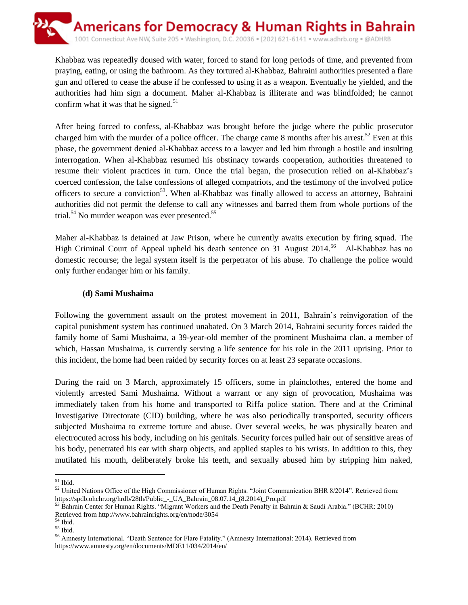

Khabbaz was repeatedly doused with water, forced to stand for long periods of time, and prevented from praying, eating, or using the bathroom. As they tortured al-Khabbaz, Bahraini authorities presented a flare gun and offered to cease the abuse if he confessed to using it as a weapon. Eventually he yielded, and the authorities had him sign a document. Maher al-Khabbaz is illiterate and was blindfolded; he cannot confirm what it was that he signed. $51$ 

After being forced to confess, al-Khabbaz was brought before the judge where the public prosecutor charged him with the murder of a police officer. The charge came 8 months after his arrest.<sup>52</sup> Even at this phase, the government denied al-Khabbaz access to a lawyer and led him through a hostile and insulting interrogation. When al-Khabbaz resumed his obstinacy towards cooperation, authorities threatened to resume their violent practices in turn. Once the trial began, the prosecution relied on al-Khabbaz's coerced confession, the false confessions of alleged compatriots, and the testimony of the involved police officers to secure a conviction<sup>53</sup>. When al-Khabbaz was finally allowed to access an attorney, Bahraini authorities did not permit the defense to call any witnesses and barred them from whole portions of the trial.<sup>54</sup> No murder weapon was ever presented.<sup>55</sup>

Maher al-Khabbaz is detained at Jaw Prison, where he currently awaits execution by firing squad. The High Criminal Court of Appeal upheld his death sentence on 31 August 2014.<sup>56</sup> Al-Khabbaz has no domestic recourse; the legal system itself is the perpetrator of his abuse. To challenge the police would only further endanger him or his family.

#### **(d) Sami Mushaima**

Following the government assault on the protest movement in 2011, Bahrain's reinvigoration of the capital punishment system has continued unabated. On 3 March 2014, Bahraini security forces raided the family home of Sami Mushaima, a 39-year-old member of the prominent Mushaima clan, a member of which, Hassan Mushaima, is currently serving a life sentence for his role in the 2011 uprising. Prior to this incident, the home had been raided by security forces on at least 23 separate occasions.

During the raid on 3 March, approximately 15 officers, some in plainclothes, entered the home and violently arrested Sami Mushaima. Without a warrant or any sign of provocation, Mushaima was immediately taken from his home and transported to Riffa police station. There and at the Criminal Investigative Directorate (CID) building, where he was also periodically transported, security officers subjected Mushaima to extreme torture and abuse. Over several weeks, he was physically beaten and electrocuted across his body, including on his genitals. Security forces pulled hair out of sensitive areas of his body, penetrated his ear with sharp objects, and applied staples to his wrists. In addition to this, they mutilated his mouth, deliberately broke his teeth, and sexually abused him by stripping him naked,

 $\overline{\phantom{a}}$  $51$  Ibid.

<sup>&</sup>lt;sup>52</sup> United Nations Office of the High Commissioner of Human Rights. "Joint Communication BHR 8/2014". Retrieved from: https://spdb.ohchr.org/hrdb/28th/Public\_-\_UA\_Bahrain\_08.07.14\_(8.2014)\_Pro.pdf

<sup>53</sup> Bahrain Center for Human Rights. "Migrant Workers and the Death Penalty in Bahrain & Saudi Arabia." (BCHR: 2010) Retrieved from http://www.bahrainrights.org/en/node/3054

 $^{\rm 54}$  Ibid.

 $^{\rm 55}$  Ibid.

<sup>56</sup> Amnesty International. "Death Sentence for Flare Fatality." (Amnesty International: 2014). Retrieved from https://www.amnesty.org/en/documents/MDE11/034/2014/en/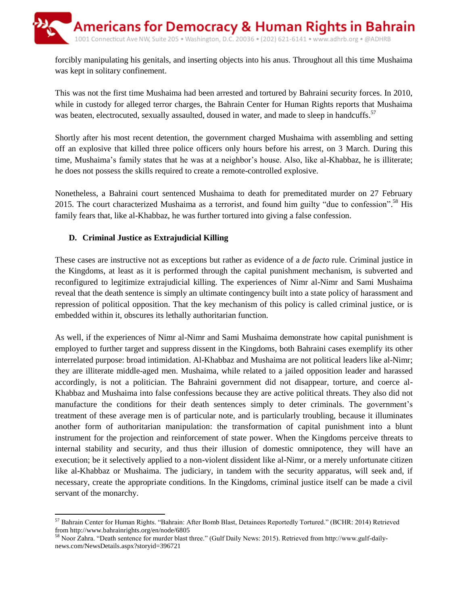forcibly manipulating his genitals, and inserting objects into his anus. Throughout all this time Mushaima was kept in solitary confinement.

This was not the first time Mushaima had been arrested and tortured by Bahraini security forces. In 2010, while in custody for alleged terror charges, the Bahrain Center for Human Rights reports that Mushaima was beaten, electrocuted, sexually assaulted, doused in water, and made to sleep in handcuffs.<sup>57</sup>

Shortly after his most recent detention, the government charged Mushaima with assembling and setting off an explosive that killed three police officers only hours before his arrest, on 3 March. During this time, Mushaima's family states that he was at a neighbor's house. Also, like al-Khabbaz, he is illiterate; he does not possess the skills required to create a remote-controlled explosive.

Nonetheless, a Bahraini court sentenced Mushaima to death for premeditated murder on 27 February 2015. The court characterized Mushaima as a terrorist, and found him guilty "due to confession".<sup>58</sup> His family fears that, like al-Khabbaz, he was further tortured into giving a false confession.

## **D. Criminal Justice as Extrajudicial Killing**

These cases are instructive not as exceptions but rather as evidence of a *de facto* rule. Criminal justice in the Kingdoms, at least as it is performed through the capital punishment mechanism, is subverted and reconfigured to legitimize extrajudicial killing. The experiences of Nimr al-Nimr and Sami Mushaima reveal that the death sentence is simply an ultimate contingency built into a state policy of harassment and repression of political opposition. That the key mechanism of this policy is called criminal justice, or is embedded within it, obscures its lethally authoritarian function.

As well, if the experiences of Nimr al-Nimr and Sami Mushaima demonstrate how capital punishment is employed to further target and suppress dissent in the Kingdoms, both Bahraini cases exemplify its other interrelated purpose: broad intimidation. Al-Khabbaz and Mushaima are not political leaders like al-Nimr; they are illiterate middle-aged men. Mushaima, while related to a jailed opposition leader and harassed accordingly, is not a politician. The Bahraini government did not disappear, torture, and coerce al-Khabbaz and Mushaima into false confessions because they are active political threats. They also did not manufacture the conditions for their death sentences simply to deter criminals. The government's treatment of these average men is of particular note, and is particularly troubling, because it illuminates another form of authoritarian manipulation: the transformation of capital punishment into a blunt instrument for the projection and reinforcement of state power. When the Kingdoms perceive threats to internal stability and security, and thus their illusion of domestic omnipotence, they will have an execution; be it selectively applied to a non-violent dissident like al-Nimr, or a merely unfortunate citizen like al-Khabbaz or Mushaima. The judiciary, in tandem with the security apparatus, will seek and, if necessary, create the appropriate conditions. In the Kingdoms, criminal justice itself can be made a civil servant of the monarchy.

 $\overline{\phantom{a}}$ <sup>57</sup> Bahrain Center for Human Rights. "Bahrain: After Bomb Blast, Detainees Reportedly Tortured." (BCHR: 2014) Retrieved from http://www.bahrainrights.org/en/node/6805

<sup>58</sup> Noor Zahra. "Death sentence for murder blast three." (Gulf Daily News: 2015). Retrieved from http://www.gulf-dailynews.com/NewsDetails.aspx?storyid=396721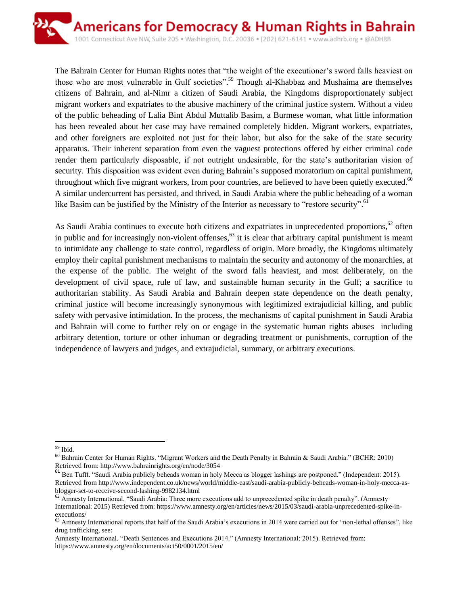

The Bahrain Center for Human Rights notes that "the weight of the executioner's sword falls heaviest on those who are most vulnerable in Gulf societies".<sup>59</sup> Though al-Khabbaz and Mushaima are themselves citizens of Bahrain, and al-Nimr a citizen of Saudi Arabia, the Kingdoms disproportionately subject migrant workers and expatriates to the abusive machinery of the criminal justice system. Without a video of the public beheading of Lalia Bint Abdul Muttalib Basim, a Burmese woman, what little information has been revealed about her case may have remained completely hidden. Migrant workers, expatriates, and other foreigners are exploited not just for their labor, but also for the sake of the state security apparatus. Their inherent separation from even the vaguest protections offered by either criminal code render them particularly disposable, if not outright undesirable, for the state's authoritarian vision of security. This disposition was evident even during Bahrain's supposed moratorium on capital punishment, throughout which five migrant workers, from poor countries, are believed to have been quietly executed.<sup>60</sup> A similar undercurrent has persisted, and thrived, in Saudi Arabia where the public beheading of a woman like Basim can be justified by the Ministry of the Interior as necessary to "restore security".<sup>61</sup>

As Saudi Arabia continues to execute both citizens and expatriates in unprecedented proportions,<sup>62</sup> often in public and for increasingly non-violent offenses,<sup>63</sup> it is clear that arbitrary capital punishment is meant to intimidate any challenge to state control, regardless of origin. More broadly, the Kingdoms ultimately employ their capital punishment mechanisms to maintain the security and autonomy of the monarchies, at the expense of the public. The weight of the sword falls heaviest, and most deliberately, on the development of civil space, rule of law, and sustainable human security in the Gulf; a sacrifice to authoritarian stability. As Saudi Arabia and Bahrain deepen state dependence on the death penalty, criminal justice will become increasingly synonymous with legitimized extrajudicial killing, and public safety with pervasive intimidation. In the process, the mechanisms of capital punishment in Saudi Arabia and Bahrain will come to further rely on or engage in the systematic human rights abuses including arbitrary detention, torture or other inhuman or degrading treatment or punishments, corruption of the independence of lawyers and judges, and extrajudicial, summary, or arbitrary executions.

 $\overline{\phantom{a}}$ <sup>59</sup> Ibid.

<sup>60</sup> Bahrain Center for Human Rights. "Migrant Workers and the Death Penalty in Bahrain & Saudi Arabia." (BCHR: 2010) Retrieved from: http://www.bahrainrights.org/en/node/3054

<sup>61</sup> Ben Tufft. "Saudi Arabia publicly beheads woman in holy Mecca as blogger lashings are postponed." (Independent: 2015). Retrieved from http://www.independent.co.uk/news/world/middle-east/saudi-arabia-publicly-beheads-woman-in-holy-mecca-asblogger-set-to-receive-second-lashing-9982134.html

 $62$  Amnesty International. "Saudi Arabia: Three more executions add to unprecedented spike in death penalty". (Amnesty International: 2015) Retrieved from: https://www.amnesty.org/en/articles/news/2015/03/saudi-arabia-unprecedented-spike-inexecutions/

<sup>&</sup>lt;sup>63</sup> Amnesty International reports that half of the Saudi Arabia's executions in 2014 were carried out for "non-lethal offenses", like drug trafficking, see:

Amnesty International. "Death Sentences and Executions 2014." (Amnesty International: 2015). Retrieved from: https://www.amnesty.org/en/documents/act50/0001/2015/en/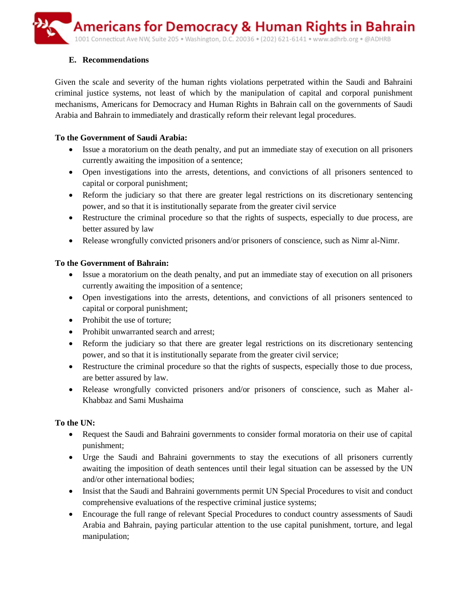**Americans for Democracy & Human Rights in Bahrain** 1001 Connecticut Ave NW, Suite 205 · Washington, D.C. 20036 · (202) 621-6141 · www.adhrb.org · @ADHRB

## **E. Recommendations**

Given the scale and severity of the human rights violations perpetrated within the Saudi and Bahraini criminal justice systems, not least of which by the manipulation of capital and corporal punishment mechanisms, Americans for Democracy and Human Rights in Bahrain call on the governments of Saudi Arabia and Bahrain to immediately and drastically reform their relevant legal procedures.

## **To the Government of Saudi Arabia:**

- Issue a moratorium on the death penalty, and put an immediate stay of execution on all prisoners currently awaiting the imposition of a sentence;
- Open investigations into the arrests, detentions, and convictions of all prisoners sentenced to capital or corporal punishment;
- Reform the judiciary so that there are greater legal restrictions on its discretionary sentencing power, and so that it is institutionally separate from the greater civil service
- Restructure the criminal procedure so that the rights of suspects, especially to due process, are better assured by law
- Release wrongfully convicted prisoners and/or prisoners of conscience, such as Nimr al-Nimr.

# **To the Government of Bahrain:**

- Issue a moratorium on the death penalty, and put an immediate stay of execution on all prisoners currently awaiting the imposition of a sentence;
- Open investigations into the arrests, detentions, and convictions of all prisoners sentenced to capital or corporal punishment;
- Prohibit the use of torture:
- Prohibit unwarranted search and arrest;
- Reform the judiciary so that there are greater legal restrictions on its discretionary sentencing power, and so that it is institutionally separate from the greater civil service;
- Restructure the criminal procedure so that the rights of suspects, especially those to due process, are better assured by law.
- Release wrongfully convicted prisoners and/or prisoners of conscience, such as Maher al-Khabbaz and Sami Mushaima

# **To the UN:**

- Request the Saudi and Bahraini governments to consider formal moratoria on their use of capital punishment;
- Urge the Saudi and Bahraini governments to stay the executions of all prisoners currently awaiting the imposition of death sentences until their legal situation can be assessed by the UN and/or other international bodies;
- Insist that the Saudi and Bahraini governments permit UN Special Procedures to visit and conduct comprehensive evaluations of the respective criminal justice systems;
- Encourage the full range of relevant Special Procedures to conduct country assessments of Saudi Arabia and Bahrain, paying particular attention to the use capital punishment, torture, and legal manipulation;